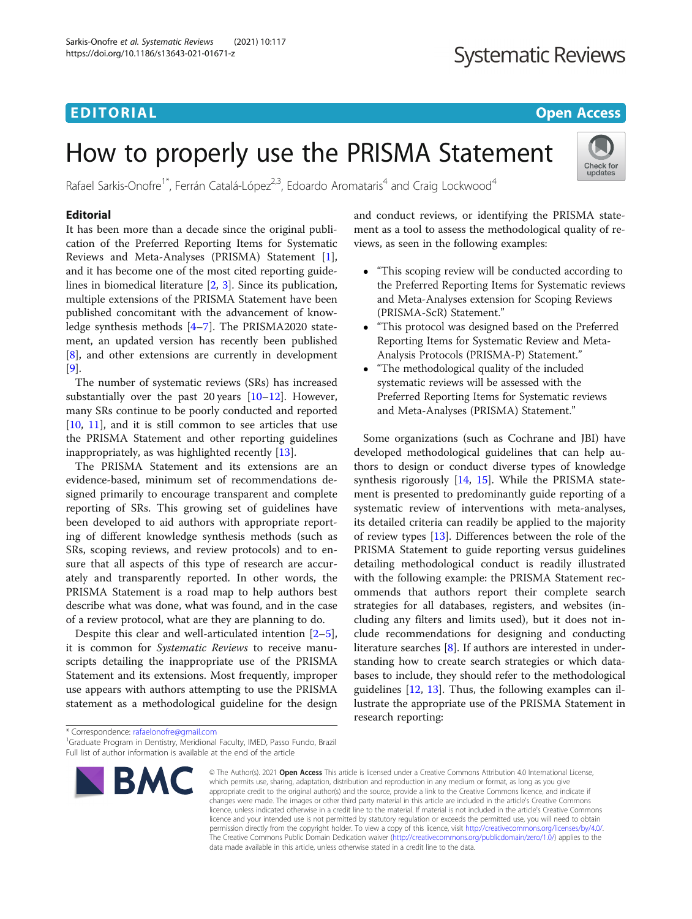### EDITORIAL AND INTERNATIONAL CONTRACT CONTRACT OF THE CONTRACT OF THE CONTRACT OF THE CONTRACT OF THE CONTRACT O

## **Systematic Reviews**

Check for updates

# How to properly use the PRISMA Statement

Rafael Sarkis-Onofre<sup>1\*</sup>, Ferrán Catalá-López<sup>2,3</sup>, Edoardo Aromataris<sup>4</sup> and Craig Lockwood<sup>4</sup>

#### Editorial

It has been more than a decade since the original publication of the Preferred Reporting Items for Systematic Reviews and Meta-Analyses (PRISMA) Statement [\[1](#page-1-0)], and it has become one of the most cited reporting guidelines in biomedical literature [\[2](#page-1-0), [3](#page-1-0)]. Since its publication, multiple extensions of the PRISMA Statement have been published concomitant with the advancement of knowledge synthesis methods [\[4](#page-1-0)–[7\]](#page-1-0). The PRISMA2020 statement, an updated version has recently been published [[8\]](#page-1-0), and other extensions are currently in development [[9\]](#page-1-0).

The number of systematic reviews (SRs) has increased substantially over the past 20 years [[10](#page-1-0)–[12](#page-1-0)]. However, many SRs continue to be poorly conducted and reported [[10,](#page-1-0) [11\]](#page-1-0), and it is still common to see articles that use the PRISMA Statement and other reporting guidelines inappropriately, as was highlighted recently [\[13\]](#page-2-0).

The PRISMA Statement and its extensions are an evidence-based, minimum set of recommendations designed primarily to encourage transparent and complete reporting of SRs. This growing set of guidelines have been developed to aid authors with appropriate reporting of different knowledge synthesis methods (such as SRs, scoping reviews, and review protocols) and to ensure that all aspects of this type of research are accurately and transparently reported. In other words, the PRISMA Statement is a road map to help authors best describe what was done, what was found, and in the case of a review protocol, what are they are planning to do.

Despite this clear and well-articulated intention [\[2](#page-1-0)–[5](#page-1-0)], it is common for Systematic Reviews to receive manuscripts detailing the inappropriate use of the PRISMA Statement and its extensions. Most frequently, improper use appears with authors attempting to use the PRISMA statement as a methodological guideline for the design and conduct reviews, or identifying the PRISMA statement as a tool to assess the methodological quality of reviews, as seen in the following examples:

- "This scoping review will be conducted according to the Preferred Reporting Items for Systematic reviews and Meta-Analyses extension for Scoping Reviews (PRISMA-ScR) Statement."
- "This protocol was designed based on the Preferred Reporting Items for Systematic Review and Meta-Analysis Protocols (PRISMA-P) Statement."
- "The methodological quality of the included systematic reviews will be assessed with the Preferred Reporting Items for Systematic reviews and Meta-Analyses (PRISMA) Statement."

Some organizations (such as Cochrane and JBI) have developed methodological guidelines that can help authors to design or conduct diverse types of knowledge synthesis rigorously [[14,](#page-2-0) [15](#page-2-0)]. While the PRISMA statement is presented to predominantly guide reporting of a systematic review of interventions with meta-analyses, its detailed criteria can readily be applied to the majority of review types [[13](#page-2-0)]. Differences between the role of the PRISMA Statement to guide reporting versus guidelines detailing methodological conduct is readily illustrated with the following example: the PRISMA Statement recommends that authors report their complete search strategies for all databases, registers, and websites (including any filters and limits used), but it does not include recommendations for designing and conducting literature searches [\[8](#page-1-0)]. If authors are interested in understanding how to create search strategies or which databases to include, they should refer to the methodological guidelines [\[12](#page-1-0), [13\]](#page-2-0). Thus, the following examples can illustrate the appropriate use of the PRISMA Statement in research reporting:

<sup>&</sup>lt;sup>1</sup>Graduate Program in Dentistry, Meridional Faculty, IMED, Passo Fundo, Brazil Full list of author information is available at the end of the article



<sup>©</sup> The Author(s), 2021 **Open Access** This article is licensed under a Creative Commons Attribution 4.0 International License, which permits use, sharing, adaptation, distribution and reproduction in any medium or format, as long as you give appropriate credit to the original author(s) and the source, provide a link to the Creative Commons licence, and indicate if changes were made. The images or other third party material in this article are included in the article's Creative Commons licence, unless indicated otherwise in a credit line to the material. If material is not included in the article's Creative Commons licence and your intended use is not permitted by statutory regulation or exceeds the permitted use, you will need to obtain permission directly from the copyright holder. To view a copy of this licence, visit [http://creativecommons.org/licenses/by/4.0/.](http://creativecommons.org/licenses/by/4.0/) The Creative Commons Public Domain Dedication waiver [\(http://creativecommons.org/publicdomain/zero/1.0/](http://creativecommons.org/publicdomain/zero/1.0/)) applies to the data made available in this article, unless otherwise stated in a credit line to the data.

<sup>\*</sup> Correspondence: [rafaelonofre@gmail.com](mailto:rafaelonofre@gmail.com) <sup>1</sup>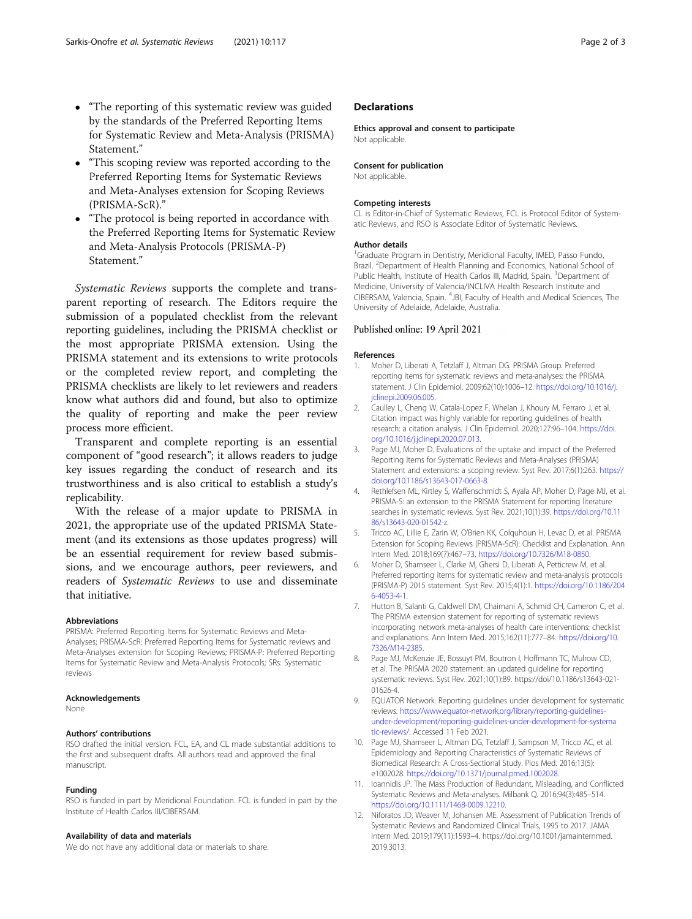- <span id="page-1-0"></span> "The reporting of this systematic review was guided by the standards of the Preferred Reporting Items for Systematic Review and Meta-Analysis (PRISMA) Statement."
- "This scoping review was reported according to the Preferred Reporting Items for Systematic Reviews and Meta-Analyses extension for Scoping Reviews (PRISMA-ScR)."
- "The protocol is being reported in accordance with the Preferred Reporting Items for Systematic Review and Meta-Analysis Protocols (PRISMA-P) Statement."

Systematic Reviews supports the complete and transparent reporting of research. The Editors require the submission of a populated checklist from the relevant reporting guidelines, including the PRISMA checklist or the most appropriate PRISMA extension. Using the PRISMA statement and its extensions to write protocols or the completed review report, and completing the PRISMA checklists are likely to let reviewers and readers know what authors did and found, but also to optimize the quality of reporting and make the peer review process more efficient.

Transparent and complete reporting is an essential component of "good research"; it allows readers to judge key issues regarding the conduct of research and its trustworthiness and is also critical to establish a study's replicability.

With the release of a major update to PRISMA in 2021, the appropriate use of the updated PRISMA Statement (and its extensions as those updates progress) will be an essential requirement for review based submissions, and we encourage authors, peer reviewers, and readers of Systematic Reviews to use and disseminate that initiative.

#### Abbreviations

PRISMA: Preferred Reporting Items for Systematic Reviews and Meta-Analyses; PRISMA-ScR: Preferred Reporting Items for Systematic reviews and Meta-Analyses extension for Scoping Reviews; PRISMA-P: Preferred Reporting Items for Systematic Review and Meta-Analysis Protocols; SRs: Systematic reviews

#### Acknowledgements

None

#### Authors' contributions

RSO drafted the initial version. FCL, EA, and CL made substantial additions to the first and subsequent drafts. All authors read and approved the final manuscript.

#### Funding

RSO is funded in part by Meridional Foundation. FCL is funded in part by the Institute of Health Carlos III/CIBERSAM.

#### Availability of data and materials

We do not have any additional data or materials to share.

#### **Declarations**

#### Ethics approval and consent to participate

Not applicable.

#### Consent for publication

Not applicable.

#### Competing interests

CL is Editor-in-Chief of Systematic Reviews, FCL is Protocol Editor of Systematic Reviews, and RSO is Associate Editor of Systematic Reviews.

#### Author details

<sup>1</sup>Graduate Program in Dentistry, Meridional Faculty, IMED, Passo Fundo Brazil. <sup>2</sup>Department of Health Planning and Economics, National School of Public Health, Institute of Health Carlos III, Madrid, Spain. <sup>3</sup>Department of Medicine, University of Valencia/INCLIVA Health Research Institute and CIBERSAM, Valencia, Spain. <sup>4</sup>JBI, Faculty of Health and Medical Sciences, The University of Adelaide, Adelaide, Australia.

#### Published online: 19 April 2021

#### References

- 1. Moher D, Liberati A, Tetzlaff J, Altman DG. PRISMA Group. Preferred reporting items for systematic reviews and meta-analyses: the PRISMA statement. J Clin Epidemiol. 2009;62(10):1006–12. [https://doi.org/10.1016/j.](https://doi.org/10.1016/j.jclinepi.2009.06.005) [jclinepi.2009.06.005](https://doi.org/10.1016/j.jclinepi.2009.06.005).
- 2. Caulley L, Cheng W, Catala-Lopez F, Whelan J, Khoury M, Ferraro J, et al. Citation impact was highly variable for reporting guidelines of health research: a citation analysis. J Clin Epidemiol. 2020;127:96–104. [https://doi.](https://doi.org/10.1016/j.jclinepi.2020.07.013) [org/10.1016/j.jclinepi.2020.07.013](https://doi.org/10.1016/j.jclinepi.2020.07.013).
- 3. Page MJ, Moher D. Evaluations of the uptake and impact of the Preferred Reporting Items for Systematic Reviews and Meta-Analyses (PRISMA) Statement and extensions: a scoping review. Syst Rev. 2017;6(1):263. [https://](https://doi.org/10.1186/s13643-017-0663-8) [doi.org/10.1186/s13643-017-0663-8.](https://doi.org/10.1186/s13643-017-0663-8)
- 4. Rethlefsen ML, Kirtley S, Waffenschmidt S, Ayala AP, Moher D, Page MJ, et al. PRISMA-S: an extension to the PRISMA Statement for reporting literature searches in systematic reviews. Syst Rev. 2021;10(1):39. [https://doi.org/10.11](https://doi.org/10.1186/s13643-020-01542-z) [86/s13643-020-01542-z](https://doi.org/10.1186/s13643-020-01542-z).
- 5. Tricco AC, Lillie E, Zarin W, O'Brien KK, Colquhoun H, Levac D, et al. PRISMA Extension for Scoping Reviews (PRISMA-ScR): Checklist and Explanation. Ann Intern Med. 2018;169(7):467–73. <https://doi.org/10.7326/M18-0850>.
- 6. Moher D, Shamseer L, Clarke M, Ghersi D, Liberati A, Petticrew M, et al. Preferred reporting items for systematic review and meta-analysis protocols (PRISMA-P) 2015 statement. Syst Rev. 2015;4(1):1. [https://doi.org/10.1186/204](https://doi.org/10.1186/2046-4053-4-1) [6-4053-4-1.](https://doi.org/10.1186/2046-4053-4-1)
- 7. Hutton B, Salanti G, Caldwell DM, Chaimani A, Schmid CH, Cameron C, et al. The PRISMA extension statement for reporting of systematic reviews incorporating network meta-analyses of health care interventions: checklist and explanations. Ann Intern Med. 2015;162(11):777–84. [https://doi.org/10.](https://doi.org/10.7326/M14-2385) [7326/M14-2385.](https://doi.org/10.7326/M14-2385)
- 8. Page MJ, McKenzie JE, Bossuyt PM, Boutron I, Hoffmann TC, Mulrow CD, et al. The PRISMA 2020 statement: an updated guideline for reporting systematic reviews. Syst Rev. 2021;10(1):89. https://doi/10.1186/s13643-021- 01626-4.
- 9. EQUATOR Network: Reporting guidelines under development for systematic reviews. [https://www.equator-network.org/library/reporting-guidelines](https://www.equator-network.org/library/reporting-guidelines-under-development/reporting-guidelines-under-development-for-systematic-reviews/)[under-development/reporting-guidelines-under-development-for-systema](https://www.equator-network.org/library/reporting-guidelines-under-development/reporting-guidelines-under-development-for-systematic-reviews/) [tic-reviews/](https://www.equator-network.org/library/reporting-guidelines-under-development/reporting-guidelines-under-development-for-systematic-reviews/). Accessed 11 Feb 2021.
- 10. Page MJ, Shamseer L, Altman DG, Tetzlaff J, Sampson M, Tricco AC, et al. Epidemiology and Reporting Characteristics of Systematic Reviews of Biomedical Research: A Cross-Sectional Study. Plos Med. 2016;13(5): e1002028. <https://doi.org/10.1371/journal.pmed.1002028>.
- 11. Ioannidis JP. The Mass Production of Redundant, Misleading, and Conflicted Systematic Reviews and Meta-analyses. Milbank Q. 2016;94(3):485–514. [https://doi.org/10.1111/1468-0009.12210.](https://doi.org/10.1111/1468-0009.12210)
- 12. Niforatos JD, Weaver M, Johansen ME. Assessment of Publication Trends of Systematic Reviews and Randomized Clinical Trials, 1995 to 2017. JAMA Intern Med. 2019;179(11):1593–4. https://doi.org/10.1001/jamainternmed. 2019.3013.